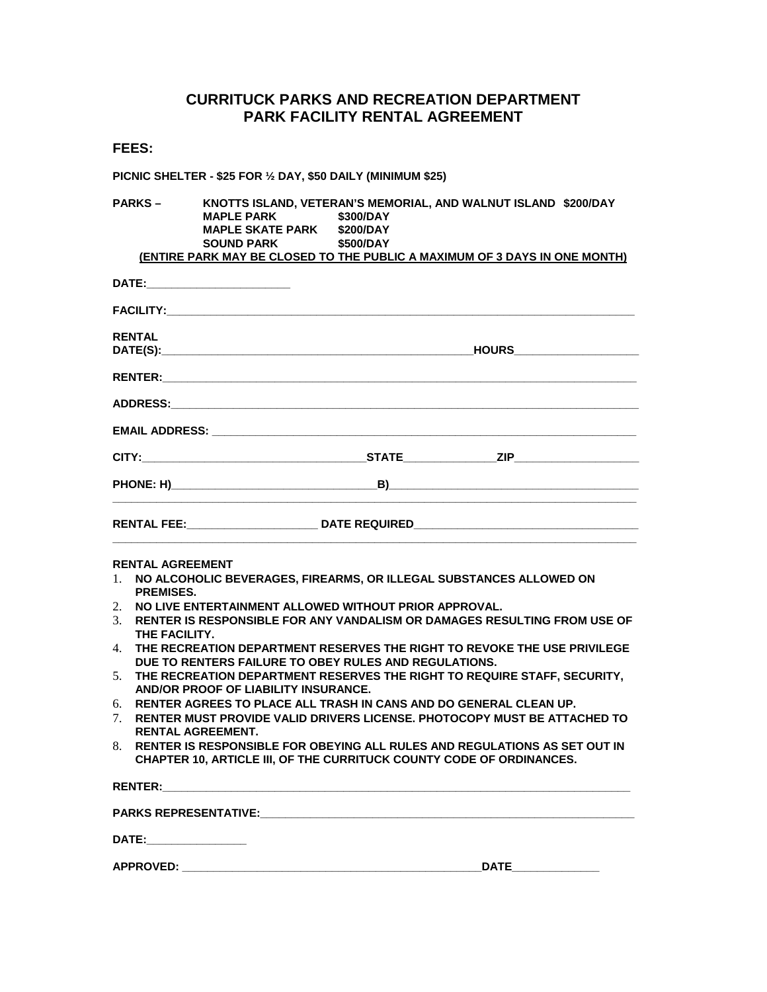## **CURRITUCK PARKS AND RECREATION DEPARTMENT PARK FACILITY RENTAL AGREEMENT**

**PICNIC SHELTER - \$25 FOR ½ DAY, \$50 DAILY (MINIMUM \$25)** 

**PARKS – KNOTTS ISLAND, VETERAN'S MEMORIAL, AND WALNUT ISLAND \$200/DAY MAPLE PARK MAPLE SKATE PARK \$200/DAY**<br>**SOUND PARK \$500/DAY SOUND PARK (ENTIRE PARK MAY BE CLOSED TO THE PUBLIC A MAXIMUM OF 3 DAYS IN ONE MONTH)**

|                                                                                   | <b>RENTAL</b>                                                                                                                                                             |  | <b>HOURS Example 2016</b> |  |  |
|-----------------------------------------------------------------------------------|---------------------------------------------------------------------------------------------------------------------------------------------------------------------------|--|---------------------------|--|--|
|                                                                                   |                                                                                                                                                                           |  |                           |  |  |
|                                                                                   |                                                                                                                                                                           |  |                           |  |  |
|                                                                                   |                                                                                                                                                                           |  |                           |  |  |
|                                                                                   |                                                                                                                                                                           |  |                           |  |  |
|                                                                                   |                                                                                                                                                                           |  |                           |  |  |
| RENTAL FEE:_______________________________DATE REQUIRED__________________________ |                                                                                                                                                                           |  |                           |  |  |
|                                                                                   | <b>RENTAL AGREEMENT</b>                                                                                                                                                   |  |                           |  |  |
| 1                                                                                 | NO ALCOHOLIC BEVERAGES, FIREARMS, OR ILLEGAL SUBSTANCES ALLOWED ON<br><b>PREMISES.</b>                                                                                    |  |                           |  |  |
| 2.<br>3.                                                                          | NO LIVE ENTERTAINMENT ALLOWED WITHOUT PRIOR APPROVAL.<br>RENTER IS RESPONSIBLE FOR ANY VANDALISM OR DAMAGES RESULTING FROM USE OF<br>THE FACILITY.                        |  |                           |  |  |
| 4.                                                                                | THE RECREATION DEPARTMENT RESERVES THE RIGHT TO REVOKE THE USE PRIVILEGE<br>DUE TO RENTERS FAILURE TO OBEY RULES AND REGULATIONS.                                         |  |                           |  |  |
| 5 <sub>1</sub>                                                                    | THE RECREATION DEPARTMENT RESERVES THE RIGHT TO REQUIRE STAFF, SECURITY,<br>AND/OR PROOF OF LIABILITY INSURANCE.                                                          |  |                           |  |  |
| 6.<br>$7_{\scriptscriptstyle{\ddot{\sim}}}$                                       | RENTER AGREES TO PLACE ALL TRASH IN CANS AND DO GENERAL CLEAN UP.<br>RENTER MUST PROVIDE VALID DRIVERS LICENSE, PHOTOCOPY MUST BE ATTACHED TO<br><b>RENTAL AGREEMENT.</b> |  |                           |  |  |
| 8.                                                                                | RENTER IS RESPONSIBLE FOR OBEYING ALL RULES AND REGULATIONS AS SET OUT IN<br>CHAPTER 10, ARTICLE III, OF THE CURRITUCK COUNTY CODE OF ORDINANCES.                         |  |                           |  |  |

| <b>RENTER:</b>               |             |  |  |  |
|------------------------------|-------------|--|--|--|
| <b>PARKS REPRESENTATIVE:</b> |             |  |  |  |
| <b>DATE:</b>                 |             |  |  |  |
| <b>APPROVED:</b>             | <b>DATE</b> |  |  |  |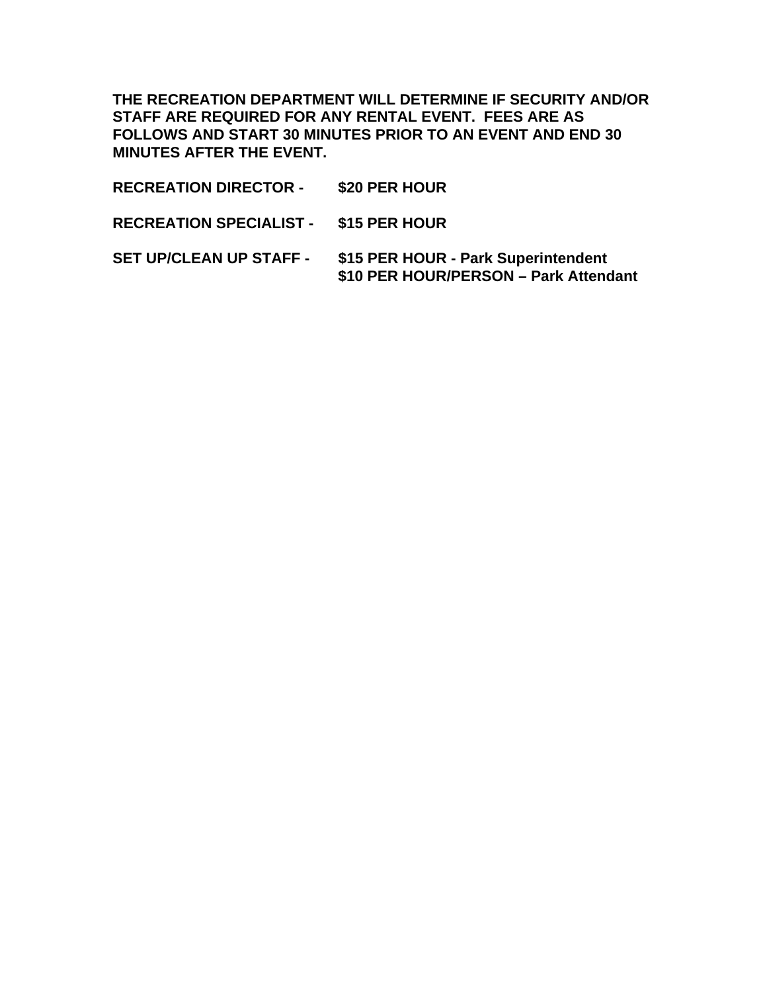**THE RECREATION DEPARTMENT WILL DETERMINE IF SECURITY AND/OR STAFF ARE REQUIRED FOR ANY RENTAL EVENT. FEES ARE AS FOLLOWS AND START 30 MINUTES PRIOR TO AN EVENT AND END 30 MINUTES AFTER THE EVENT.** 

**RECREATION DIRECTOR - \$20 PER HOUR RECREATION SPECIALIST - \$15 PER HOUR SET UP/CLEAN UP STAFF - \$15 PER HOUR - Park Superintendent \$10 PER HOUR/PERSON – Park Attendant**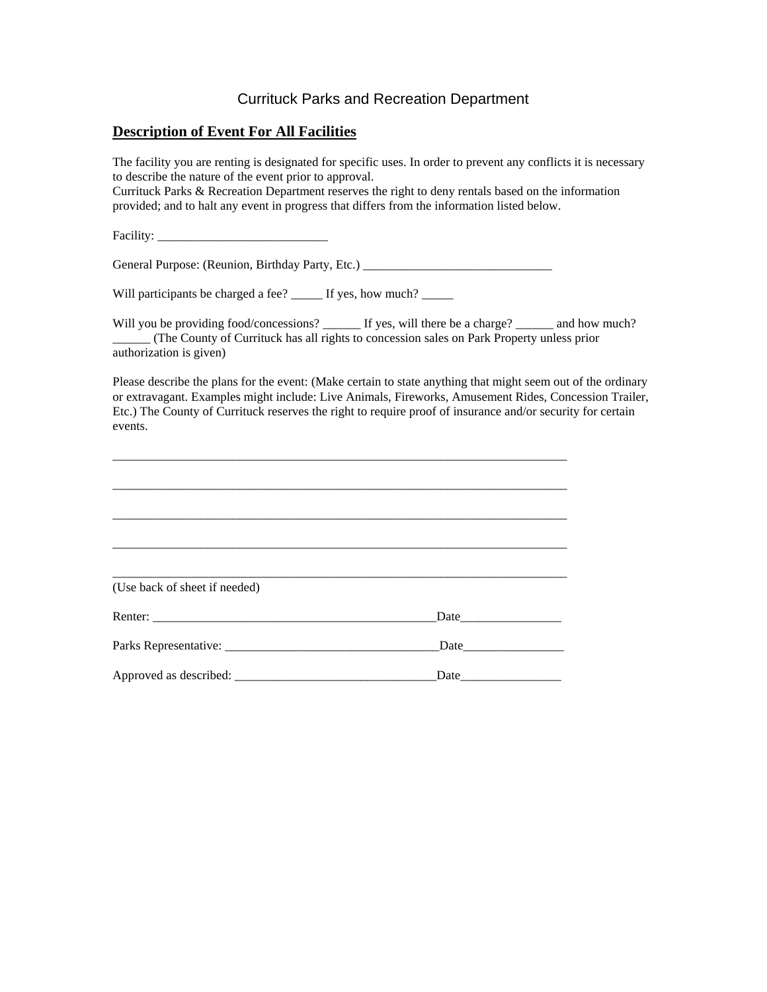## Currituck Parks and Recreation Department

#### **Description of Event For All Facilities**

The facility you are renting is designated for specific uses. In order to prevent any conflicts it is necessary to describe the nature of the event prior to approval.

Currituck Parks & Recreation Department reserves the right to deny rentals based on the information provided; and to halt any event in progress that differs from the information listed below.

Facility:

General Purpose: (Reunion, Birthday Party, Etc.) \_\_\_\_\_\_\_\_\_\_\_\_\_\_\_\_\_\_\_\_\_\_\_\_\_\_\_\_\_\_\_

Will participants be charged a fee?  $\qquad$  If yes, how much?

Will you be providing food/concessions? \_\_\_\_\_\_ If yes, will there be a charge? \_\_\_\_\_\_ and how much? \_\_\_\_\_\_ (The County of Currituck has all rights to concession sales on Park Property unless prior authorization is given)

Please describe the plans for the event: (Make certain to state anything that might seem out of the ordinary or extravagant. Examples might include: Live Animals, Fireworks, Amusement Rides, Concession Trailer, Etc.) The County of Currituck reserves the right to require proof of insurance and/or security for certain events.

| (Use back of sheet if needed) |      |
|-------------------------------|------|
|                               | Date |
|                               |      |
|                               | Date |